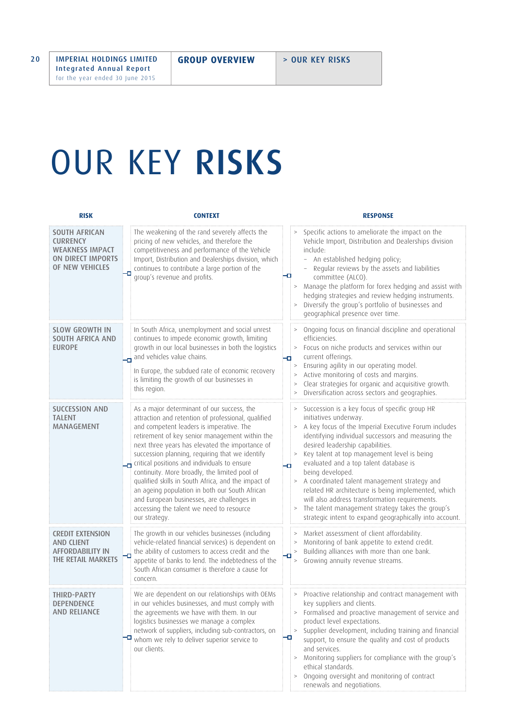## OUR KEY RISKS

| <b>RISK</b>                                                                                        | <b>CONTEXT</b>                                                                                                                                                                                                                                                                                                                                                                                                                                                                                                                                                                                                             | <b>RESPONSE</b>                                                                                                                                                                                                                                                                                                                                                                                                                                                                                                                                                                                                                                            |
|----------------------------------------------------------------------------------------------------|----------------------------------------------------------------------------------------------------------------------------------------------------------------------------------------------------------------------------------------------------------------------------------------------------------------------------------------------------------------------------------------------------------------------------------------------------------------------------------------------------------------------------------------------------------------------------------------------------------------------------|------------------------------------------------------------------------------------------------------------------------------------------------------------------------------------------------------------------------------------------------------------------------------------------------------------------------------------------------------------------------------------------------------------------------------------------------------------------------------------------------------------------------------------------------------------------------------------------------------------------------------------------------------------|
| <b>SOUTH AFRICAN</b><br><b>CURRENCY</b><br>WEAKNESS IMPACT<br>ON DIRECT IMPORTS<br>OF NEW VEHICLES | The weakening of the rand severely affects the<br>pricing of new vehicles, and therefore the<br>competitiveness and performance of the Vehicle<br>Import, Distribution and Dealerships division, which<br>continues to contribute a large portion of the<br>group's revenue and profits.                                                                                                                                                                                                                                                                                                                                   | Specific actions to ameliorate the impact on the<br>Vehicle Import, Distribution and Dealerships division<br>include:<br>An established hedging policy;<br>Regular reviews by the assets and liabilities<br>committee (ALCO).<br>Manage the platform for forex hedging and assist with<br>$\geq$<br>hedging strategies and review hedging instruments.<br>Diversify the group's portfolio of businesses and<br>$\,>$<br>geographical presence over time.                                                                                                                                                                                                   |
| <b>SLOW GROWTH IN</b><br>SOUTH AFRICA AND<br><b>EUROPE</b>                                         | In South Africa, unemployment and social unrest<br>continues to impede economic growth, limiting<br>growth in our local businesses in both the logistics<br>and vehicles value chains.<br>In Europe, the subdued rate of economic recovery<br>is limiting the growth of our businesses in<br>this region.                                                                                                                                                                                                                                                                                                                  | Ongoing focus on financial discipline and operational<br>><br>efficiencies.<br>Focus on niche products and services within our<br>$\,>$<br>current offerings.<br>-0<br>Ensuring agility in our operating model.<br>><br>Active monitoring of costs and margins.<br>$\,>$<br>Clear strategies for organic and acquisitive growth.<br>$\,>$<br>Diversification across sectors and geographies.<br>$\,>\,$                                                                                                                                                                                                                                                    |
| <b>SUCCESSION AND</b><br><b>TALENT</b><br><b>MANAGEMENT</b>                                        | As a major determinant of our success, the<br>attraction and retention of professional, qualified<br>and competent leaders is imperative. The<br>retirement of key senior management within the<br>next three years has elevated the importance of<br>succession planning, requiring that we identify<br>critical positions and individuals to ensure<br>continuity. More broadly, the limited pool of<br>qualified skills in South Africa, and the impact of<br>an ageing population in both our South African<br>and European businesses, are challenges in<br>accessing the talent we need to resource<br>our strategy. | Succession is a key focus of specific group HR<br>initiatives underway.<br>A key focus of the Imperial Executive Forum includes<br>$\geq$<br>identifying individual successors and measuring the<br>desired leadership capabilities.<br>Key talent at top management level is being<br>$\, >$<br>evaluated and a top talent database is<br>Ð<br>being developed.<br>A coordinated talent management strategy and<br>$\,>$<br>related HR architecture is being implemented, which<br>will also address transformation requirements.<br>The talent management strategy takes the group's<br>$\,>$<br>strategic intent to expand geographically into account. |
| <b>CREDIT EXTENSION</b><br><b>AND CLIENT</b><br>AFFORDABILITY IN<br>THE RETAIL MARKETS             | The growth in our vehicles businesses (including<br>vehicle-related financial services) is dependent on<br>the ability of customers to access credit and the<br>Ð<br>appetite of banks to lend. The indebtedness of the<br>South African consumer is therefore a cause for<br>concern.                                                                                                                                                                                                                                                                                                                                     | Market assessment of client affordability.<br>Monitoring of bank appetite to extend credit.<br>$\, >$<br>Building alliances with more than one bank.<br>$\geq$<br>Growing annuity revenue streams.<br>>                                                                                                                                                                                                                                                                                                                                                                                                                                                    |
| <b>THIRD-PARTY</b><br><b>DEPENDENCE</b><br>AND RELIANCE                                            | We are dependent on our relationships with OEMs<br>in our vehicles businesses, and must comply with<br>the agreements we have with them. In our<br>logistics businesses we manage a complex<br>network of suppliers, including sub-contractors, on<br>$\Box$ whom we rely to deliver superior service to<br>our clients.                                                                                                                                                                                                                                                                                                   | > Proactive relationship and contract management with<br>key suppliers and clients.<br>> Formalised and proactive management of service and<br>product level expectations.<br>Supplier development, including training and financial<br>$\, >$<br>-9<br>support, to ensure the quality and cost of products<br>and services.<br>Monitoring suppliers for compliance with the group's<br>><br>ethical standards.<br>Ongoing oversight and monitoring of contract<br>$\, > \,$<br>renewals and negotiations.                                                                                                                                                 |

Integrated Annual Report for the year ended 30 June 2015